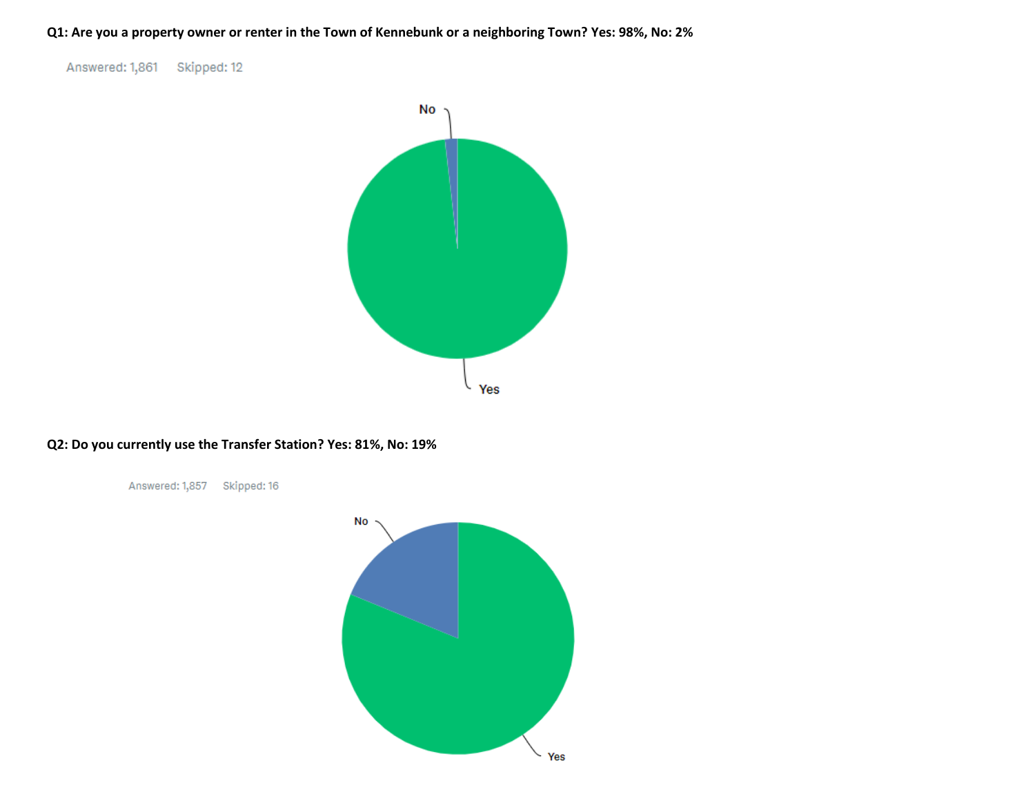**Q1: Are you a property owner or renter in the Town of Kennebunk or a neighboring Town? Yes: 98%, No: 2%**

Answered: 1,861 Skipped: 12



## **Q2: Do you currently use the Transfer Station? Yes: 81%, No: 19%**

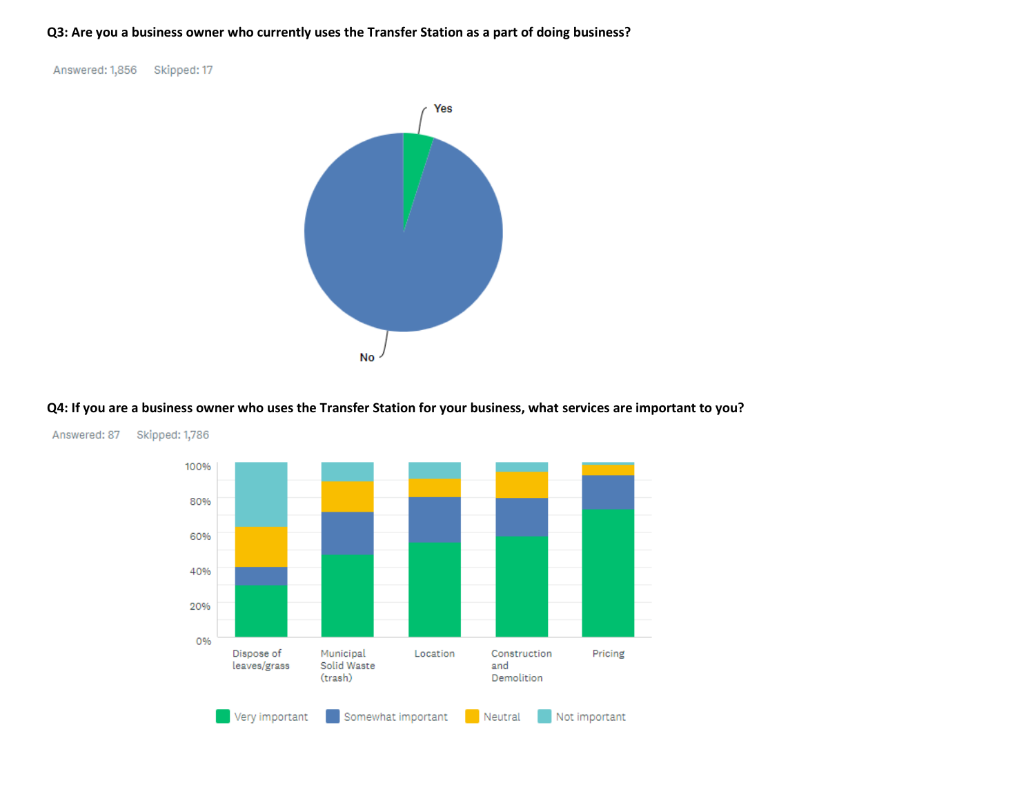## **Q3: Are you a business owner who currently uses the Transfer Station as a part of doing business?**

Answered: 1,856 Skipped: 17



## **Q4: If you are a business owner who uses the Transfer Station for your business, what services are important to you?**



Answered: 87 Skipped: 1,786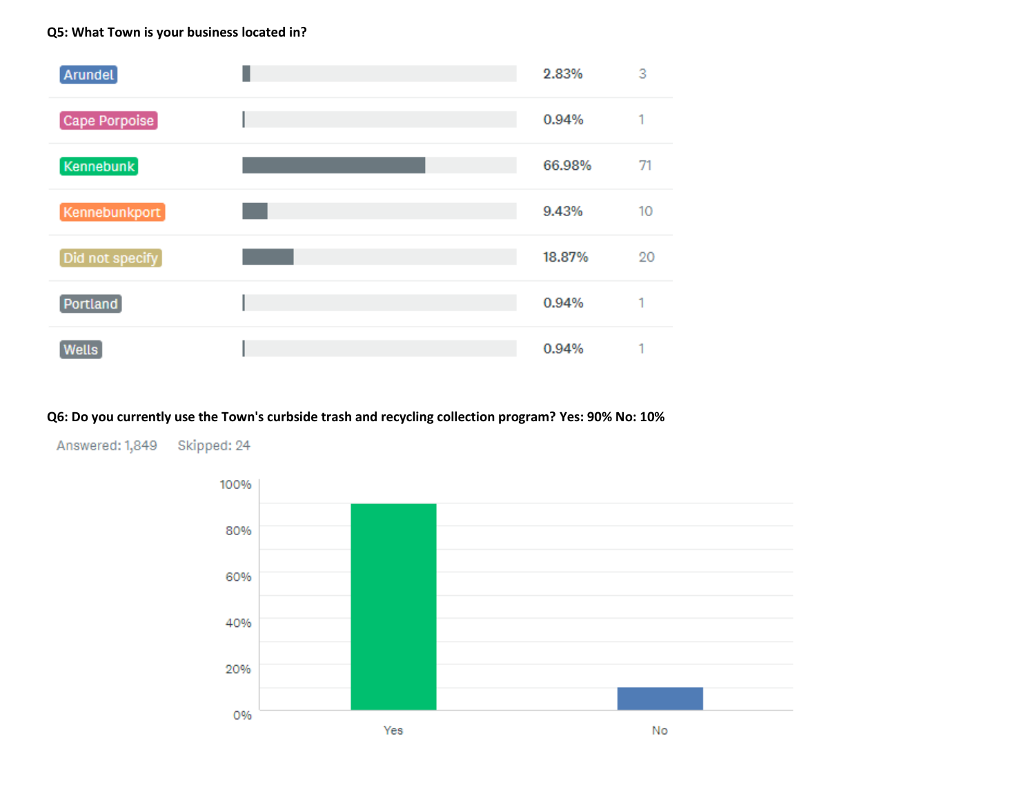## **Q5: What Town is your business located in?**



# **Q6: Do you currently use the Town's curbside trash and recycling collection program? Yes: 90% No: 10%**



Answered: 1,849 Skipped: 24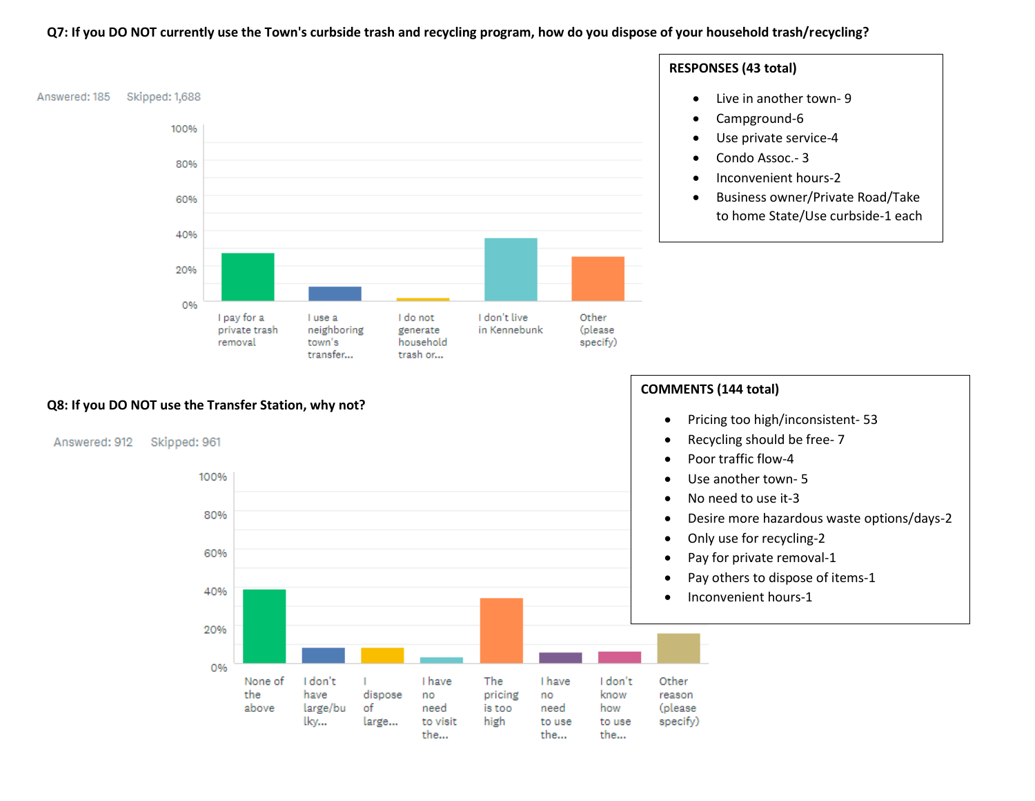### **Q7: If you DO NOT currently use the Town's curbside trash and recycling program, how do you dispose of your household trash/recycling?**

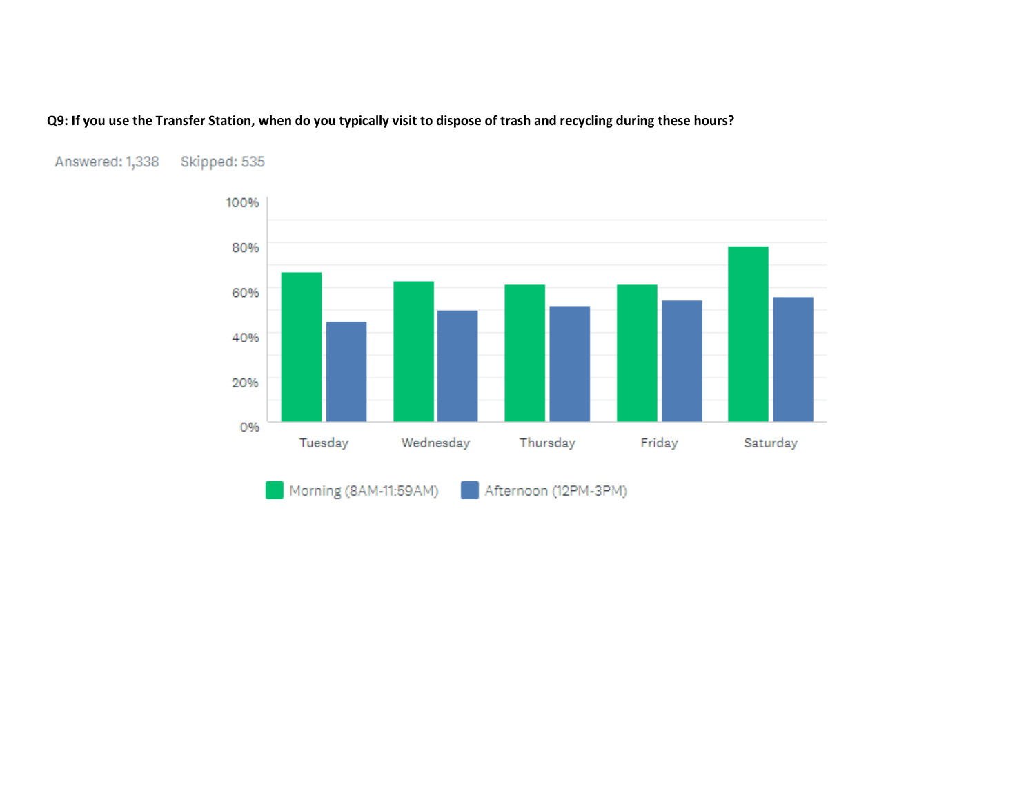# **Q9: If you use the Transfer Station, when do you typically visit to dispose of trash and recycling during these hours?**



#### Skipped: 535 Answered: 1,338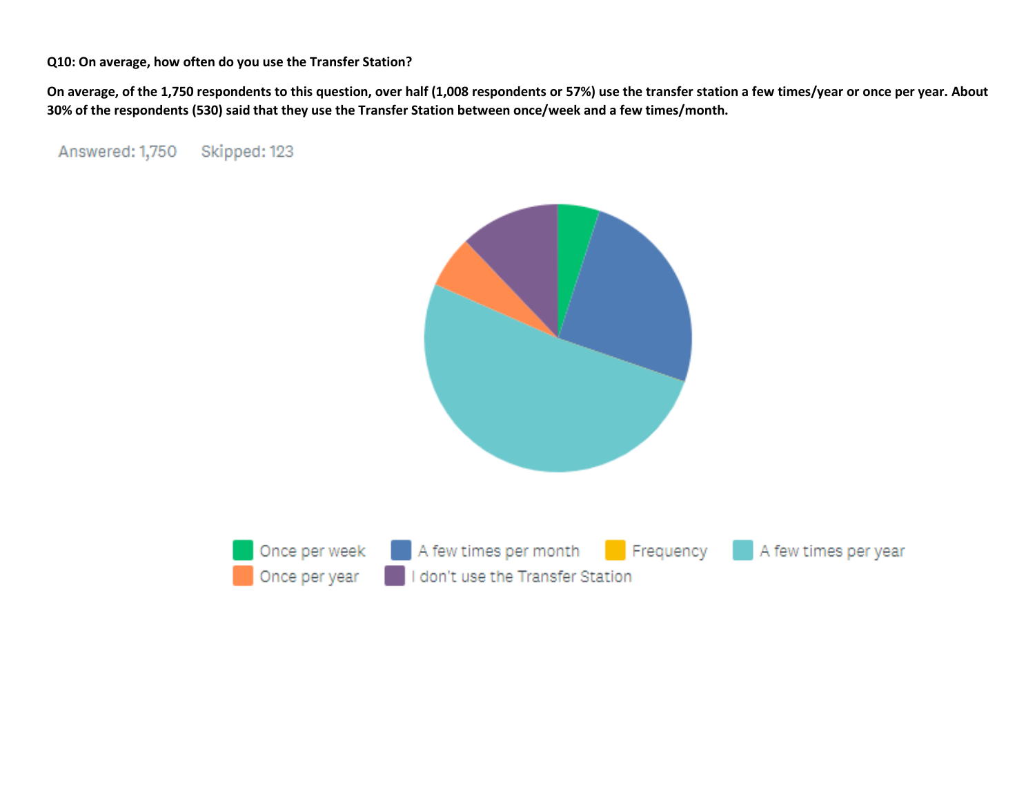**Q10: On average, how often do you use the Transfer Station?**

**On average, of the 1,750 respondents to this question, over half (1,008 respondents or 57%) use the transfer station a few times/year or once per year. About 30% of the respondents (530) said that they use the Transfer Station between once/week and a few times/month.** 

Answered: 1,750 Skipped: 123

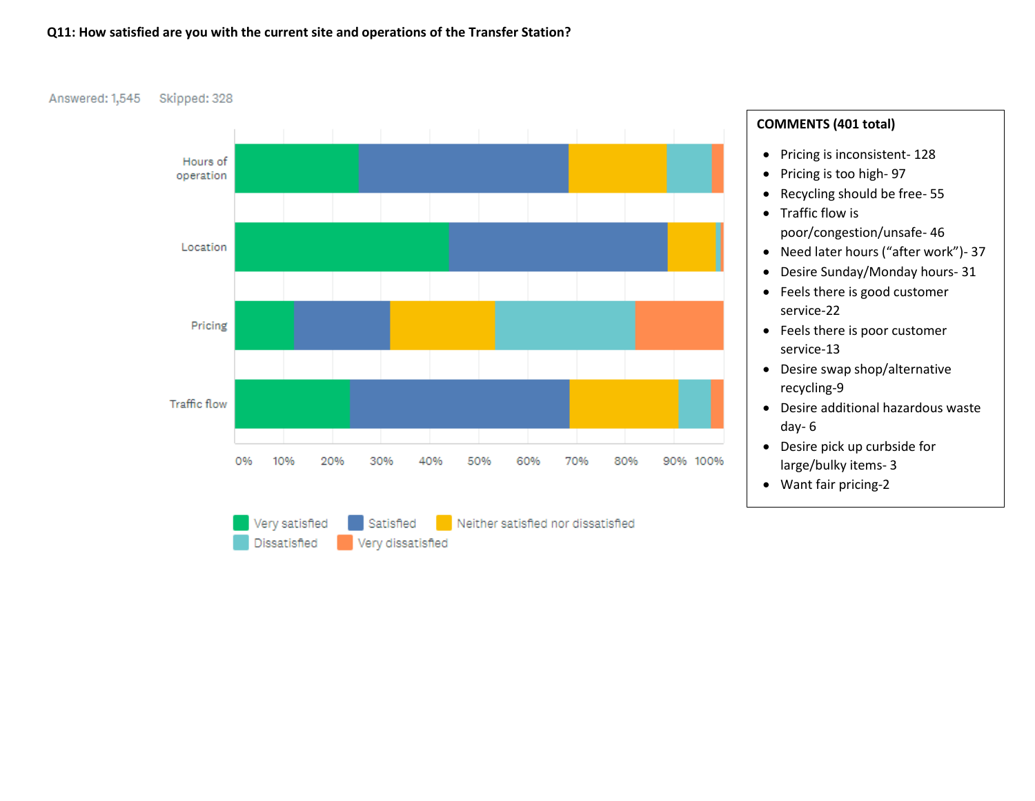### **Q11: How satisfied are you with the current site and operations of the Transfer Station?**

Answered: 1,545 Skipped: 328



# **COMMENTS (401 total)**

- Pricing is inconsistent- 128
- Pricing is too high- 97
- Recycling should be free- 55
- Traffic flow is poor/congestion/unsafe- 46
- Need later hours ("after work")- 37
- Desire Sunday/Monday hours- 31
- Feels there is good customer service-22
- Feels there is poor customer service-13
- Desire swap shop/alternative recycling-9
- Desire additional hazardous waste day- 6
- Desire pick up curbside for large/bulky items- 3
- Want fair pricing-2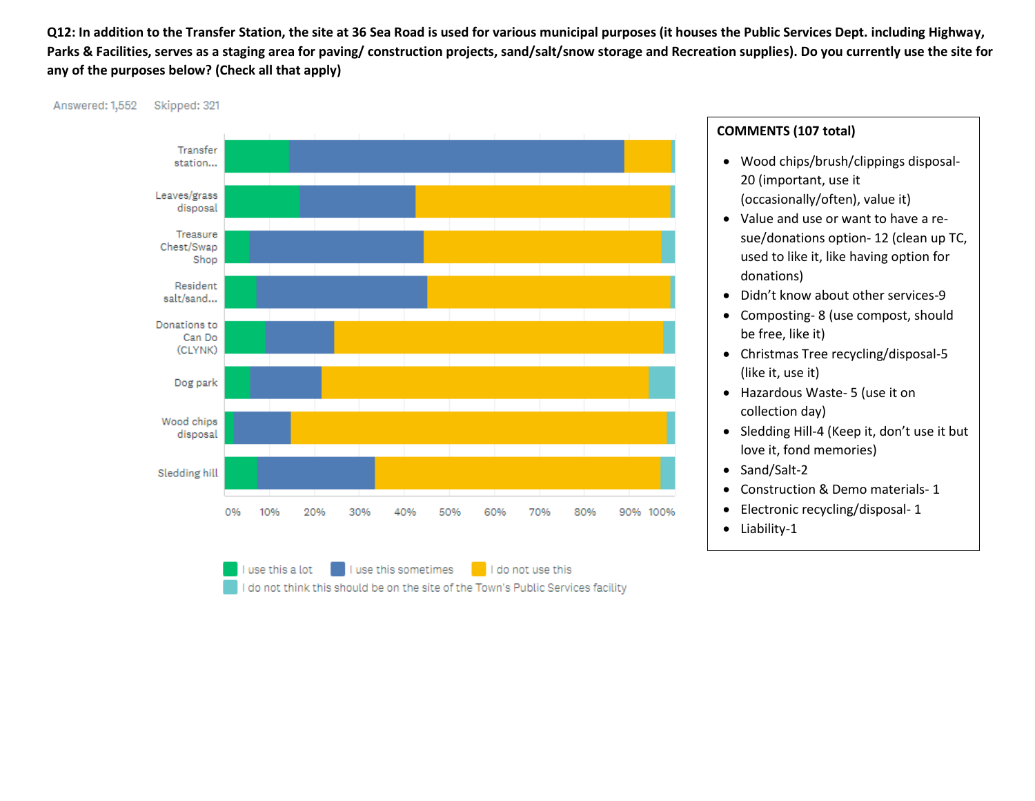**Q12: In addition to the Transfer Station, the site at 36 Sea Road is used for various municipal purposes (it houses the Public Services Dept. including Highway, Parks & Facilities, serves as a staging area for paving/ construction projects, sand/salt/snow storage and Recreation supplies). Do you currently use the site for any of the purposes below? (Check all that apply)**

Answered: 1,552 Skipped: 321



use this a lot use this sometimes I do not use this I do not think this should be on the site of the Town's Public Services facility

# **COMMENTS (107 total)**

- Wood chips/brush/clippings disposal-20 (important, use it (occasionally/often), value it)
- Value and use or want to have a resue/donations option- 12 (clean up TC, used to like it, like having option for donations)
- Didn't know about other services-9
- Composting- 8 (use compost, should be free, like it)
- Christmas Tree recycling/disposal-5 (like it, use it)
- Hazardous Waste- 5 (use it on collection day)
- Sledding Hill-4 (Keep it, don't use it but love it, fond memories)
- Sand/Salt-2
- Construction & Demo materials- 1
- Electronic recycling/disposal- 1
- Liability-1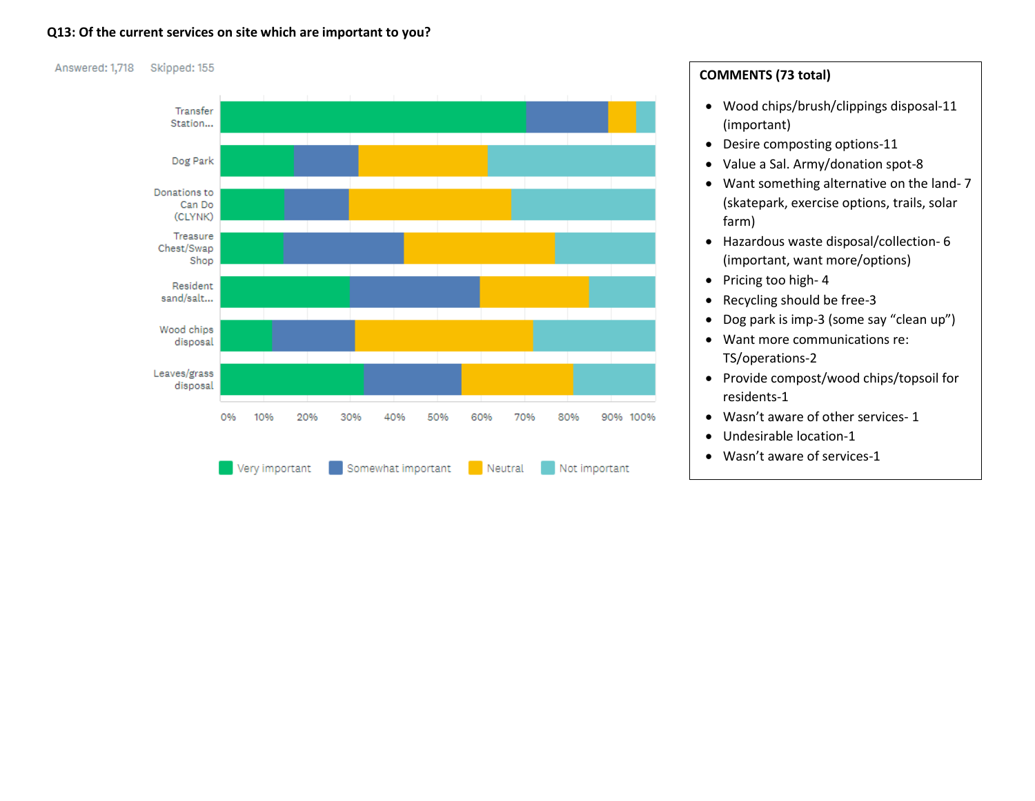### **Q13: Of the current services on site which are important to you?**



# **COMMENTS (73 total)**

- Wood chips/brush/clippings disposal-11 (important)
- Desire composting options-11
- Value a Sal. Army/donation spot-8
- Want something alternative on the land- 7 (skatepark, exercise options, trails, solar farm)
- Hazardous waste disposal/collection- 6 (important, want more/options)
- Pricing too high-4
- Recycling should be free-3
- Dog park is imp-3 (some say "clean up")
- Want more communications re: TS/operations-2
- Provide compost/wood chips/topsoil for residents-1
- Wasn't aware of other services- 1
- Undesirable location-1
- Wasn't aware of services-1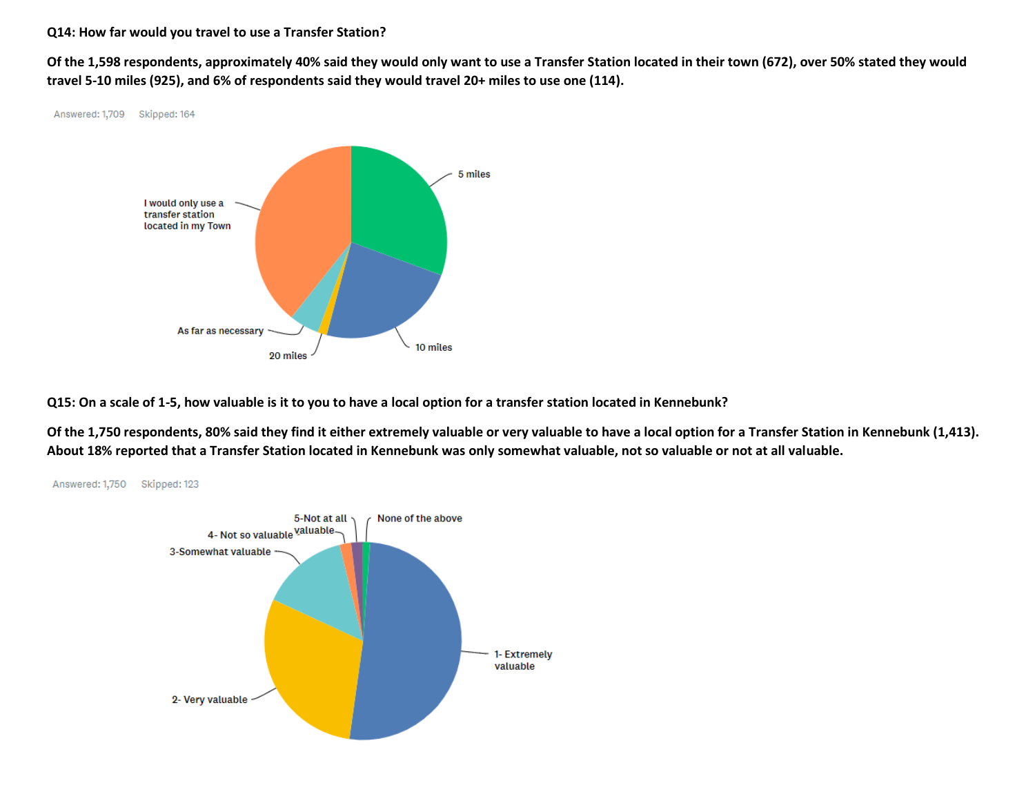### **Q14: How far would you travel to use a Transfer Station?**

**Of the 1,598 respondents, approximately 40% said they would only want to use a Transfer Station located in their town (672), over 50% stated they would travel 5-10 miles (925), and 6% of respondents said they would travel 20+ miles to use one (114).** 



**Q15: On a scale of 1-5, how valuable is it to you to have a local option for a transfer station located in Kennebunk?**

**Of the 1,750 respondents, 80% said they find it either extremely valuable or very valuable to have a local option for a Transfer Station in Kennebunk (1,413). About 18% reported that a Transfer Station located in Kennebunk was only somewhat valuable, not so valuable or not at all valuable.** 

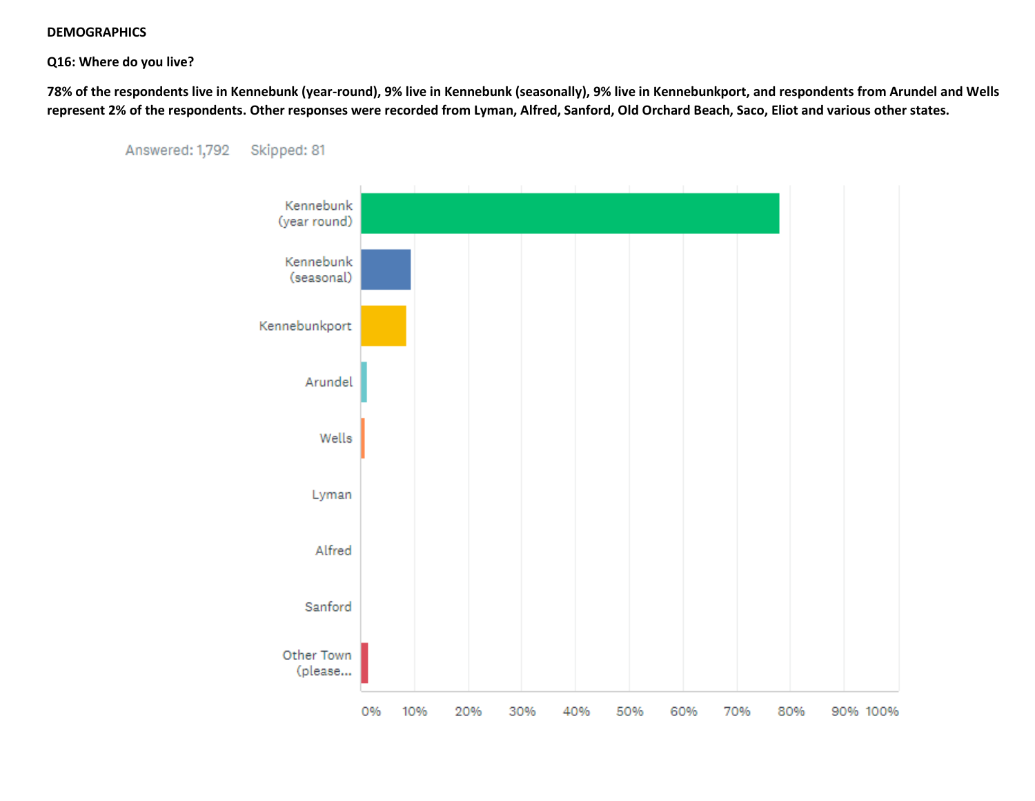#### **DEMOGRAPHICS**

#### **Q16: Where do you live?**

**78% of the respondents live in Kennebunk (year-round), 9% live in Kennebunk (seasonally), 9% live in Kennebunkport, and respondents from Arundel and Wells represent 2% of the respondents. Other responses were recorded from Lyman, Alfred, Sanford, Old Orchard Beach, Saco, Eliot and various other states.** 



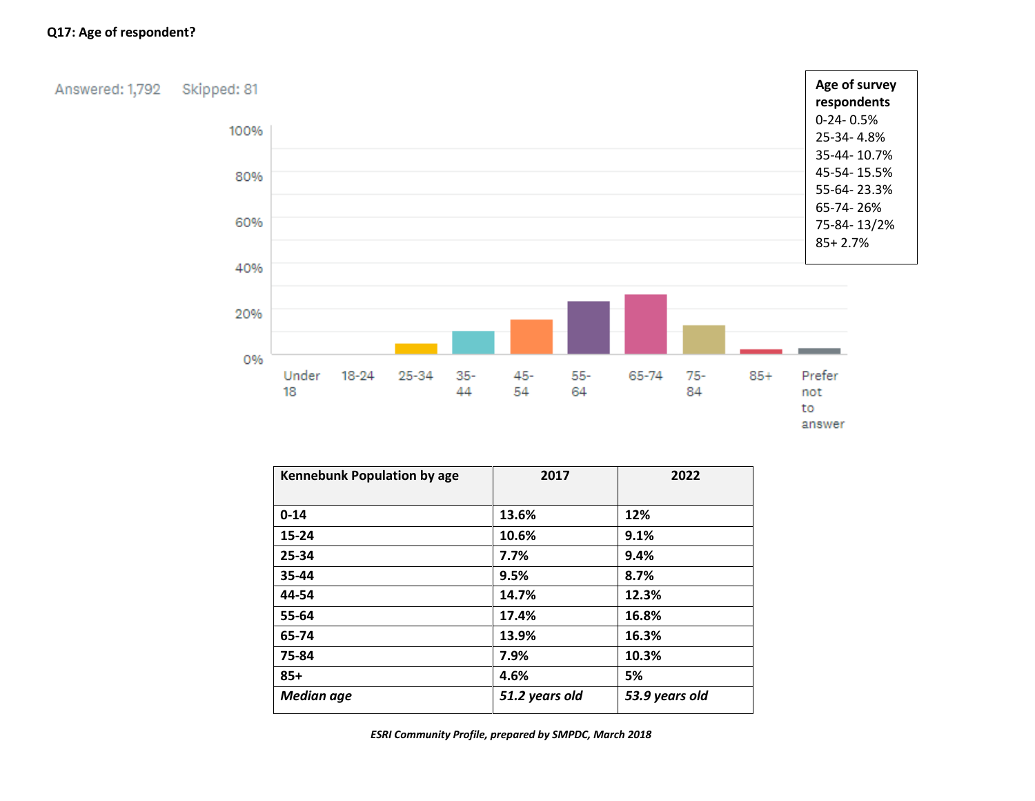## **Q17: Age of respondent?**

Answered: 1,792 Skipped: 81



| Kennebunk Population by age | 2017           | 2022           |
|-----------------------------|----------------|----------------|
|                             |                |                |
| $0 - 14$                    | 13.6%          | 12%            |
| $15 - 24$                   | 10.6%          | 9.1%           |
| 25-34                       | 7.7%           | 9.4%           |
| 35-44                       | 9.5%           | 8.7%           |
| 44-54                       | 14.7%          | 12.3%          |
| 55-64                       | 17.4%          | 16.8%          |
| 65-74                       | 13.9%          | 16.3%          |
| 75-84                       | 7.9%           | 10.3%          |
| $85+$                       | 4.6%           | 5%             |
| <b>Median age</b>           | 51.2 years old | 53.9 years old |

*ESRI Community Profile, prepared by SMPDC, March 2018*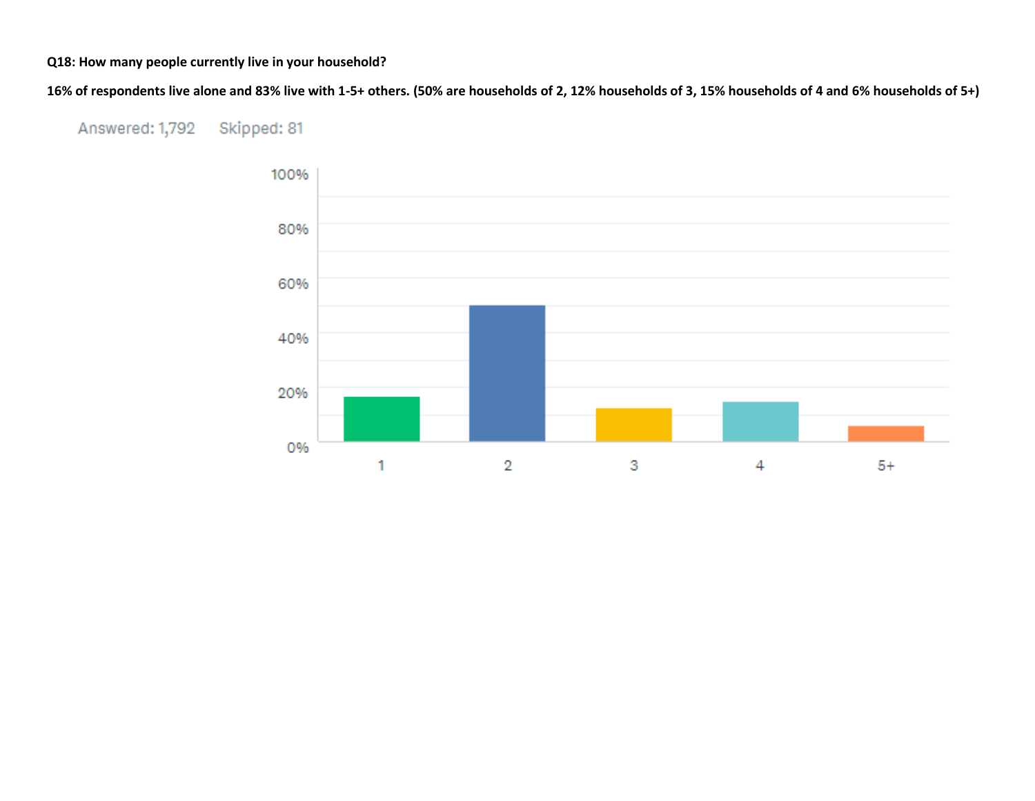## **Q18: How many people currently live in your household?**

**16% of respondents live alone and 83% live with 1-5+ others. (50% are households of 2, 12% households of 3, 15% households of 4 and 6% households of 5+)**

#### Answered: 1,792 Skipped: 81

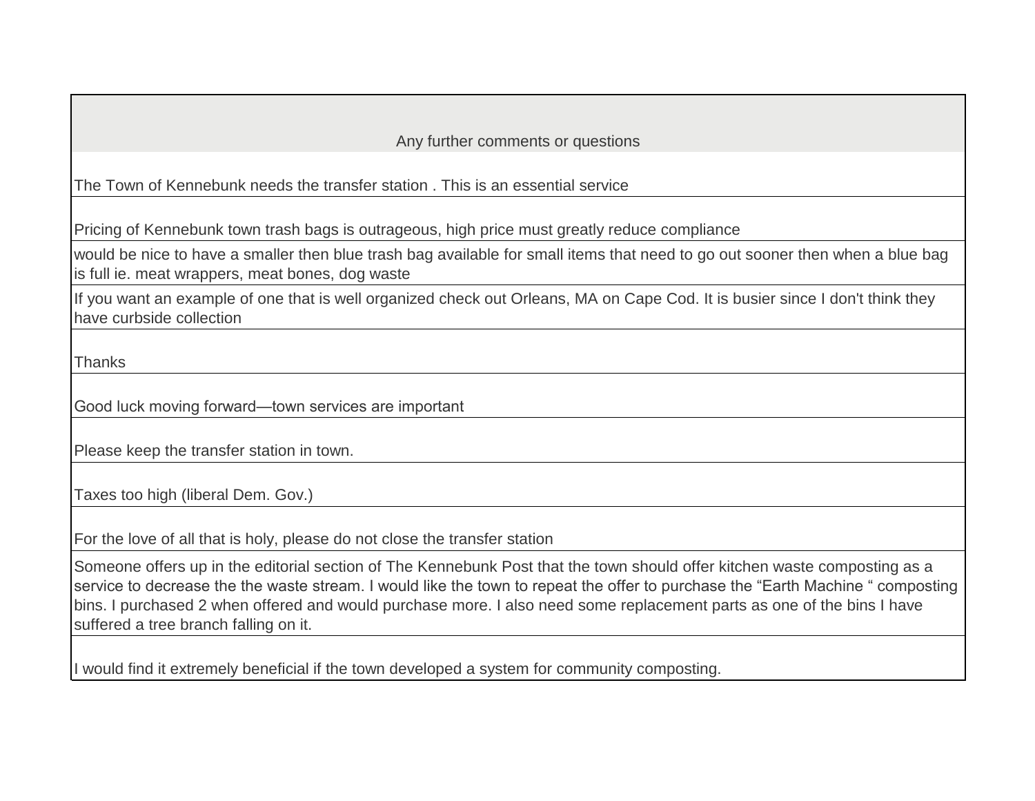Any further comments or questions

The Town of Kennebunk needs the transfer station . This is an essential service

Pricing of Kennebunk town trash bags is outrageous, high price must greatly reduce compliance

would be nice to have a smaller then blue trash bag available for small items that need to go out sooner then when a blue bag is full ie. meat wrappers, meat bones, dog waste

If you want an example of one that is well organized check out Orleans, MA on Cape Cod. It is busier since I don't think they have curbside collection

**Thanks** 

Good luck moving forward—town services are important

Please keep the transfer station in town.

Taxes too high (liberal Dem. Gov.)

For the love of all that is holy, please do not close the transfer station

Someone offers up in the editorial section of The Kennebunk Post that the town should offer kitchen waste composting as a service to decrease the the waste stream. I would like the town to repeat the offer to purchase the "Earth Machine " composting bins. I purchased 2 when offered and would purchase more. I also need some replacement parts as one of the bins I have suffered a tree branch falling on it.

I would find it extremely beneficial if the town developed a system for community composting.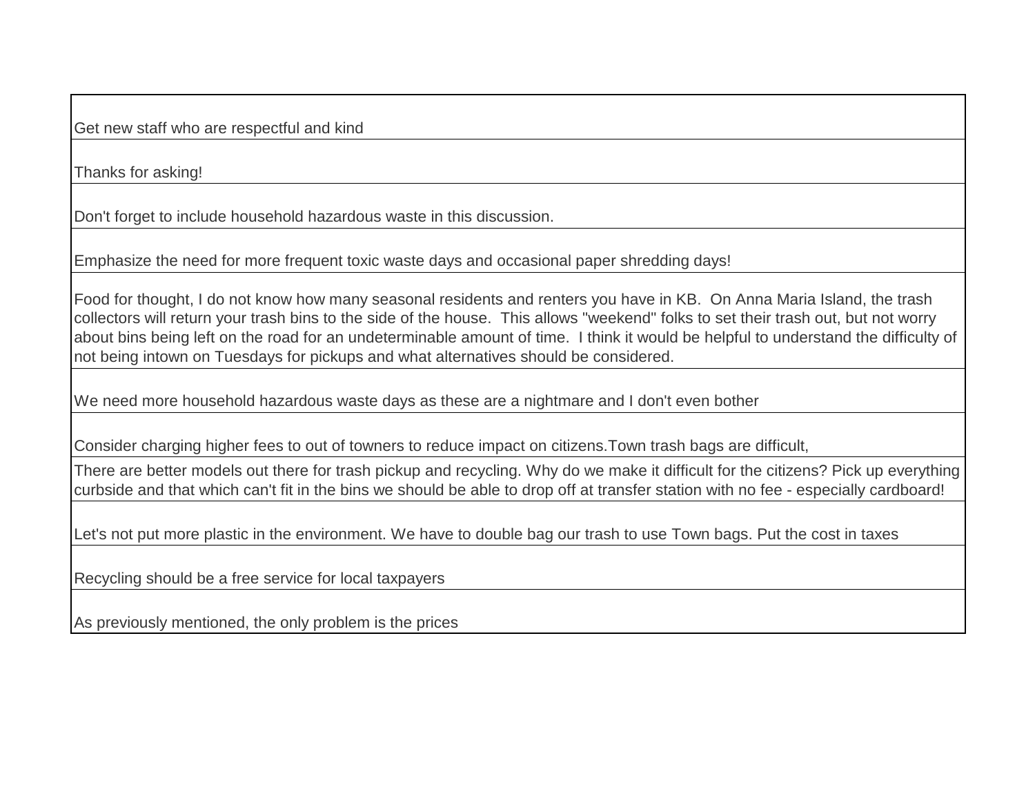Get new staff who are respectful and kind

Thanks for asking!

Don't forget to include household hazardous waste in this discussion.

Emphasize the need for more frequent toxic waste days and occasional paper shredding days!

Food for thought, I do not know how many seasonal residents and renters you have in KB. On Anna Maria Island, the trash collectors will return your trash bins to the side of the house. This allows "weekend" folks to set their trash out, but not worry about bins being left on the road for an undeterminable amount of time. I think it would be helpful to understand the difficulty of not being intown on Tuesdays for pickups and what alternatives should be considered.

We need more household hazardous waste days as these are a nightmare and I don't even bother

Consider charging higher fees to out of towners to reduce impact on citizens.Town trash bags are difficult,

There are better models out there for trash pickup and recycling. Why do we make it difficult for the citizens? Pick up everything curbside and that which can't fit in the bins we should be able to drop off at transfer station with no fee - especially cardboard!

Let's not put more plastic in the environment. We have to double bag our trash to use Town bags. Put the cost in taxes

Recycling should be a free service for local taxpayers

As previously mentioned, the only problem is the prices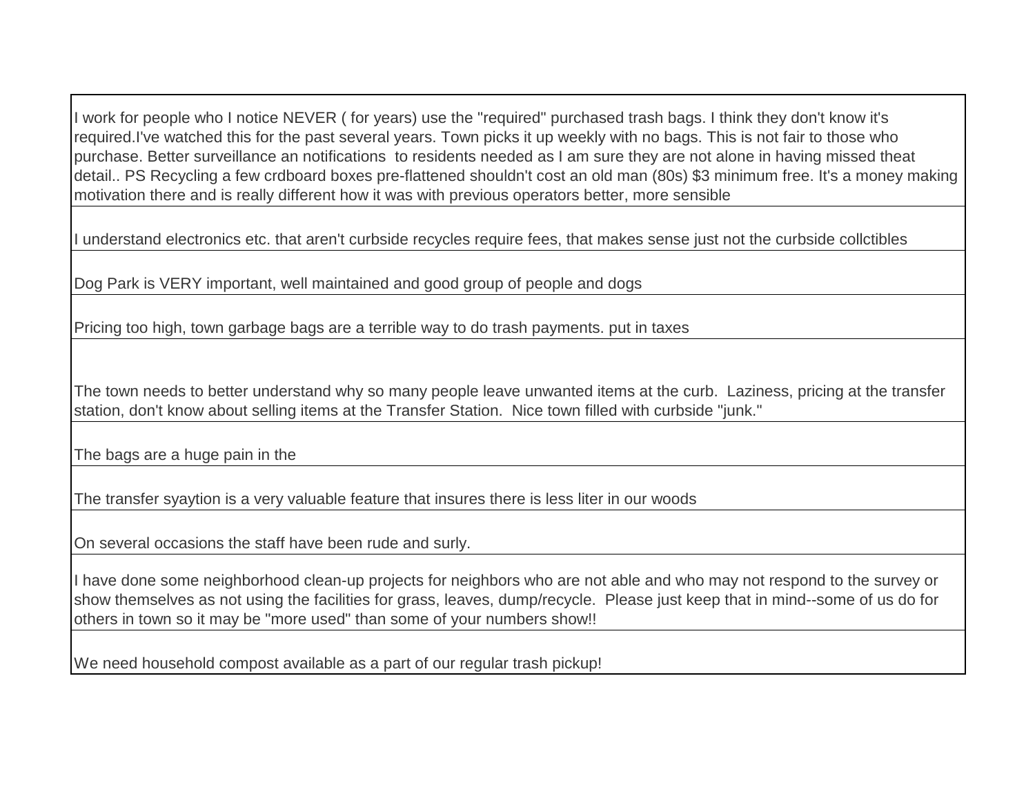I work for people who I notice NEVER ( for years) use the "required" purchased trash bags. I think they don't know it's required.I've watched this for the past several years. Town picks it up weekly with no bags. This is not fair to those who purchase. Better surveillance an notifications to residents needed as I am sure they are not alone in having missed theat detail.. PS Recycling a few crdboard boxes pre-flattened shouldn't cost an old man (80s) \$3 minimum free. It's a money making motivation there and is really different how it was with previous operators better, more sensible

I understand electronics etc. that aren't curbside recycles require fees, that makes sense just not the curbside collctibles

Dog Park is VERY important, well maintained and good group of people and dogs

Pricing too high, town garbage bags are a terrible way to do trash payments. put in taxes

The town needs to better understand why so many people leave unwanted items at the curb. Laziness, pricing at the transfer station, don't know about selling items at the Transfer Station. Nice town filled with curbside "junk."

The bags are a huge pain in the

The transfer syaytion is a very valuable feature that insures there is less liter in our woods

On several occasions the staff have been rude and surly.

I have done some neighborhood clean-up projects for neighbors who are not able and who may not respond to the survey or show themselves as not using the facilities for grass, leaves, dump/recycle. Please just keep that in mind--some of us do for others in town so it may be "more used" than some of your numbers show!!

We need household compost available as a part of our regular trash pickup!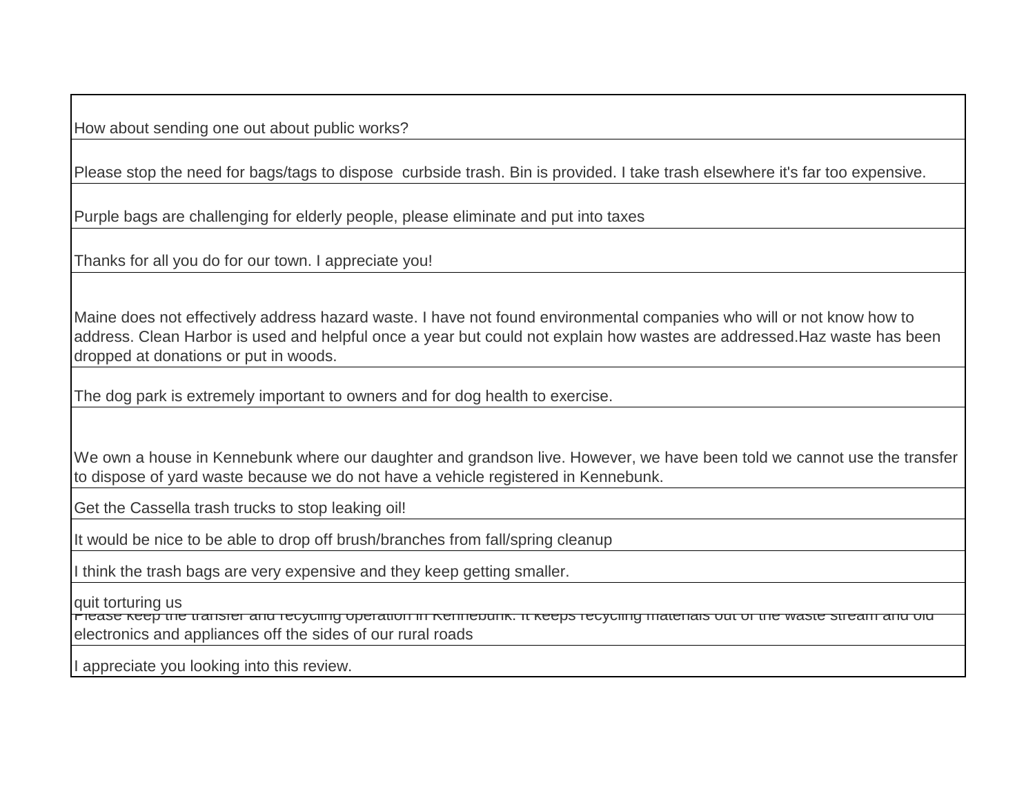How about sending one out about public works?

Please stop the need for bags/tags to dispose curbside trash. Bin is provided. I take trash elsewhere it's far too expensive.

Purple bags are challenging for elderly people, please eliminate and put into taxes

Thanks for all you do for our town. I appreciate you!

Maine does not effectively address hazard waste. I have not found environmental companies who will or not know how to address. Clean Harbor is used and helpful once a year but could not explain how wastes are addressed.Haz waste has been dropped at donations or put in woods.

The dog park is extremely important to owners and for dog health to exercise.

We own a house in Kennebunk where our daughter and grandson live. However, we have been told we cannot use the transfer to dispose of yard waste because we do not have a vehicle registered in Kennebunk.

Get the Cassella trash trucks to stop leaking oil!

It would be nice to be able to drop off brush/branches from fall/spring cleanup

I think the trash bags are very expensive and they keep getting smaller.

quit torturing us

Please keep the transfer and recycling operation in Kennebunk. It keeps recycling materials out of the waste stream and old electronics and appliances off the sides of our rural roads

appreciate you looking into this review.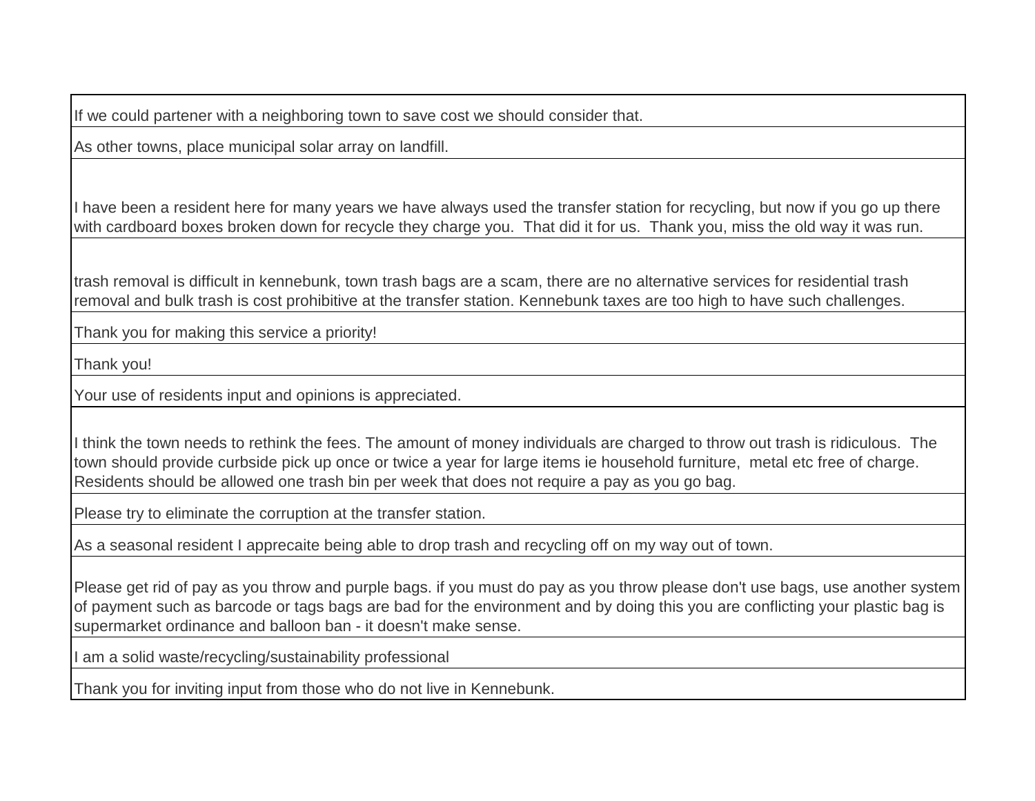If we could partener with a neighboring town to save cost we should consider that.

As other towns, place municipal solar array on landfill.

I have been a resident here for many years we have always used the transfer station for recycling, but now if you go up there with cardboard boxes broken down for recycle they charge you. That did it for us. Thank you, miss the old way it was run.

trash removal is difficult in kennebunk, town trash bags are a scam, there are no alternative services for residential trash removal and bulk trash is cost prohibitive at the transfer station. Kennebunk taxes are too high to have such challenges.

Thank you for making this service a priority!

Thank you!

Your use of residents input and opinions is appreciated.

I think the town needs to rethink the fees. The amount of money individuals are charged to throw out trash is ridiculous. The town should provide curbside pick up once or twice a year for large items ie household furniture, metal etc free of charge. Residents should be allowed one trash bin per week that does not require a pay as you go bag.

Please try to eliminate the corruption at the transfer station.

As a seasonal resident I apprecaite being able to drop trash and recycling off on my way out of town.

Please get rid of pay as you throw and purple bags. if you must do pay as you throw please don't use bags, use another system of payment such as barcode or tags bags are bad for the environment and by doing this you are conflicting your plastic bag is supermarket ordinance and balloon ban - it doesn't make sense.

I am a solid waste/recycling/sustainability professional

Thank you for inviting input from those who do not live in Kennebunk.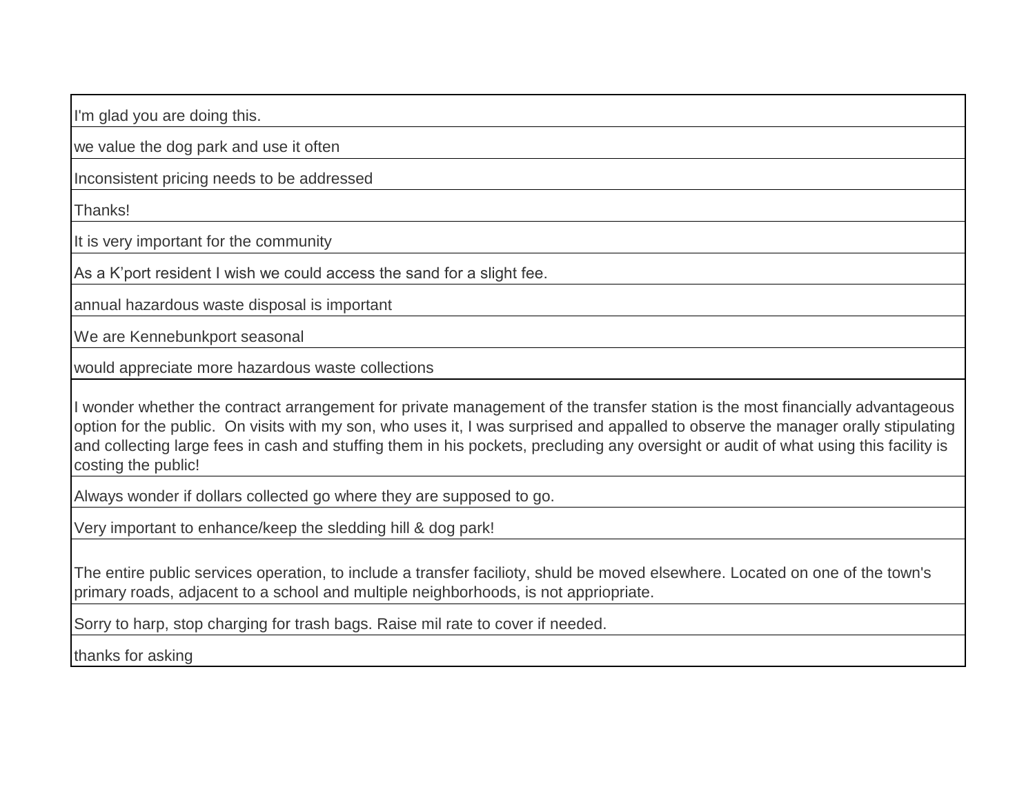I'm glad you are doing this.

we value the dog park and use it often

Inconsistent pricing needs to be addressed

Thanks!

It is very important for the community

As a K'port resident I wish we could access the sand for a slight fee.

annual hazardous waste disposal is important

We are Kennebunkport seasonal

would appreciate more hazardous waste collections

I wonder whether the contract arrangement for private management of the transfer station is the most financially advantageous option for the public. On visits with my son, who uses it, I was surprised and appalled to observe the manager orally stipulating and collecting large fees in cash and stuffing them in his pockets, precluding any oversight or audit of what using this facility is costing the public!

Always wonder if dollars collected go where they are supposed to go.

Very important to enhance/keep the sledding hill & dog park!

The entire public services operation, to include a transfer facilioty, shuld be moved elsewhere. Located on one of the town's primary roads, adjacent to a school and multiple neighborhoods, is not appriopriate.

Sorry to harp, stop charging for trash bags. Raise mil rate to cover if needed.

thanks for asking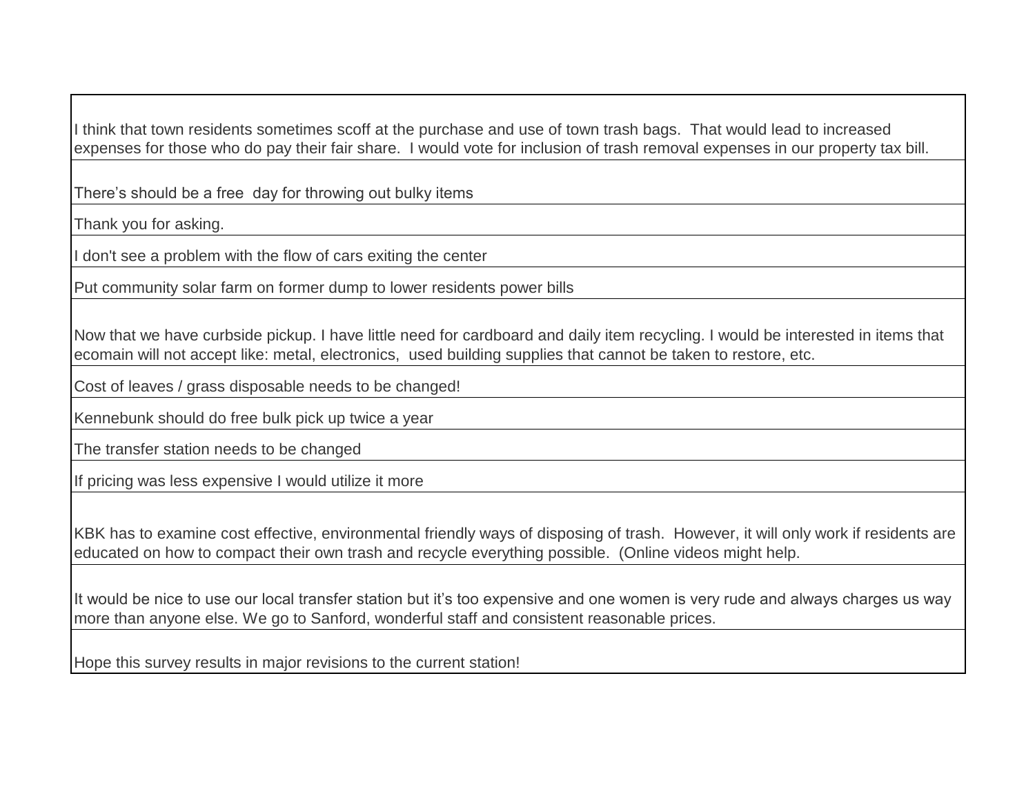I think that town residents sometimes scoff at the purchase and use of town trash bags. That would lead to increased expenses for those who do pay their fair share. I would vote for inclusion of trash removal expenses in our property tax bill.

There's should be a free day for throwing out bulky items

Thank you for asking.

I don't see a problem with the flow of cars exiting the center

Put community solar farm on former dump to lower residents power bills

Now that we have curbside pickup. I have little need for cardboard and daily item recycling. I would be interested in items that ecomain will not accept like: metal, electronics, used building supplies that cannot be taken to restore, etc.

Cost of leaves / grass disposable needs to be changed!

Kennebunk should do free bulk pick up twice a year

The transfer station needs to be changed

If pricing was less expensive I would utilize it more

KBK has to examine cost effective, environmental friendly ways of disposing of trash. However, it will only work if residents are educated on how to compact their own trash and recycle everything possible. (Online videos might help.

It would be nice to use our local transfer station but it's too expensive and one women is very rude and always charges us way more than anyone else. We go to Sanford, wonderful staff and consistent reasonable prices.

Hope this survey results in major revisions to the current station!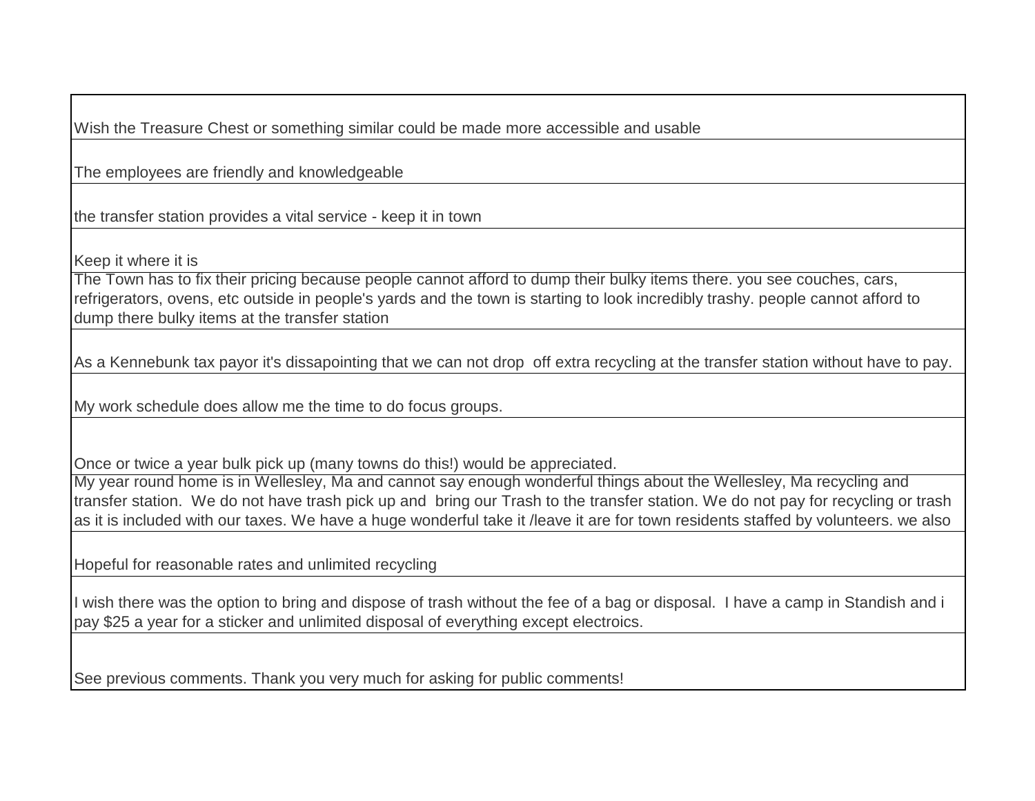Wish the Treasure Chest or something similar could be made more accessible and usable

The employees are friendly and knowledgeable

the transfer station provides a vital service - keep it in town

Keep it where it is

The Town has to fix their pricing because people cannot afford to dump their bulky items there. you see couches, cars, refrigerators, ovens, etc outside in people's yards and the town is starting to look incredibly trashy. people cannot afford to dump there bulky items at the transfer station

As a Kennebunk tax payor it's dissapointing that we can not drop off extra recycling at the transfer station without have to pay.

My work schedule does allow me the time to do focus groups.

Once or twice a year bulk pick up (many towns do this!) would be appreciated.

My year round home is in Wellesley, Ma and cannot say enough wonderful things about the Wellesley, Ma recycling and transfer station. We do not have trash pick up and bring our Trash to the transfer station. We do not pay for recycling or trash as it is included with our taxes. We have a huge wonderful take it /leave it are for town residents staffed by volunteers. we also

Hopeful for reasonable rates and unlimited recycling

I wish there was the option to bring and dispose of trash without the fee of a bag or disposal. I have a camp in Standish and i pay \$25 a year for a sticker and unlimited disposal of everything except electroics.

See previous comments. Thank you very much for asking for public comments!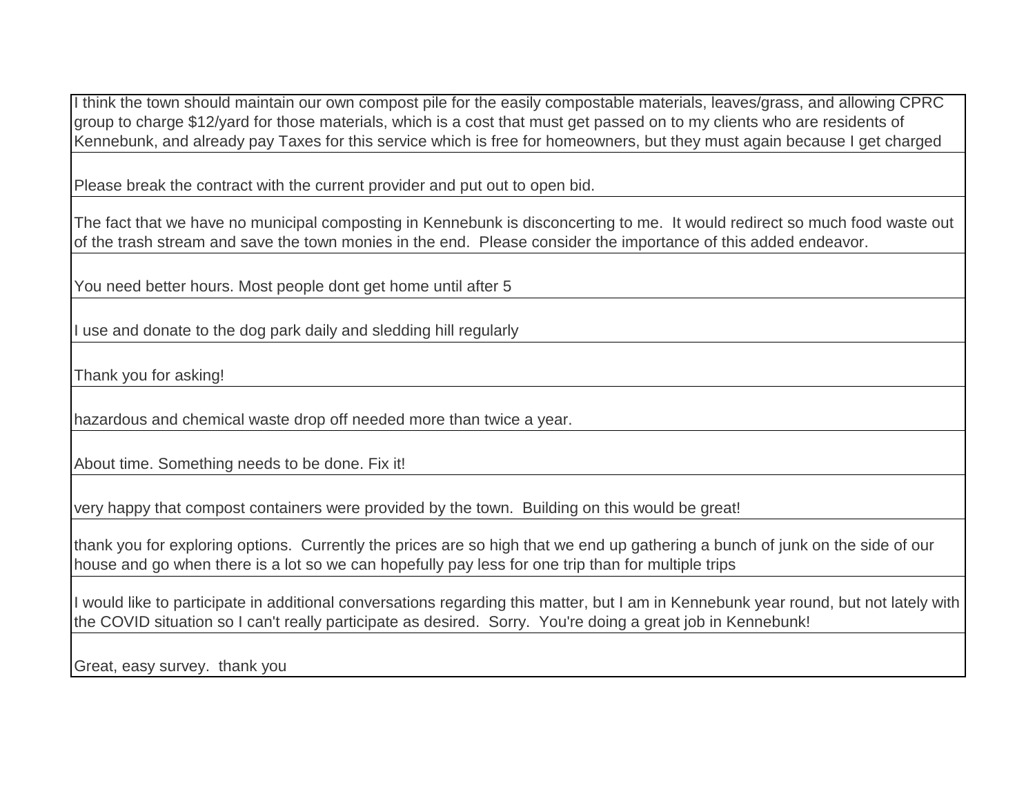I think the town should maintain our own compost pile for the easily compostable materials, leaves/grass, and allowing CPRC group to charge \$12/yard for those materials, which is a cost that must get passed on to my clients who are residents of Kennebunk, and already pay Taxes for this service which is free for homeowners, but they must again because I get charged

Please break the contract with the current provider and put out to open bid.

The fact that we have no municipal composting in Kennebunk is disconcerting to me. It would redirect so much food waste out of the trash stream and save the town monies in the end. Please consider the importance of this added endeavor.

You need better hours. Most people dont get home until after 5

I use and donate to the dog park daily and sledding hill regularly

Thank you for asking!

hazardous and chemical waste drop off needed more than twice a year.

About time. Something needs to be done. Fix it!

very happy that compost containers were provided by the town. Building on this would be great!

thank you for exploring options. Currently the prices are so high that we end up gathering a bunch of junk on the side of our house and go when there is a lot so we can hopefully pay less for one trip than for multiple trips

I would like to participate in additional conversations regarding this matter, but I am in Kennebunk year round, but not lately with the COVID situation so I can't really participate as desired. Sorry. You're doing a great job in Kennebunk!

Great, easy survey. thank you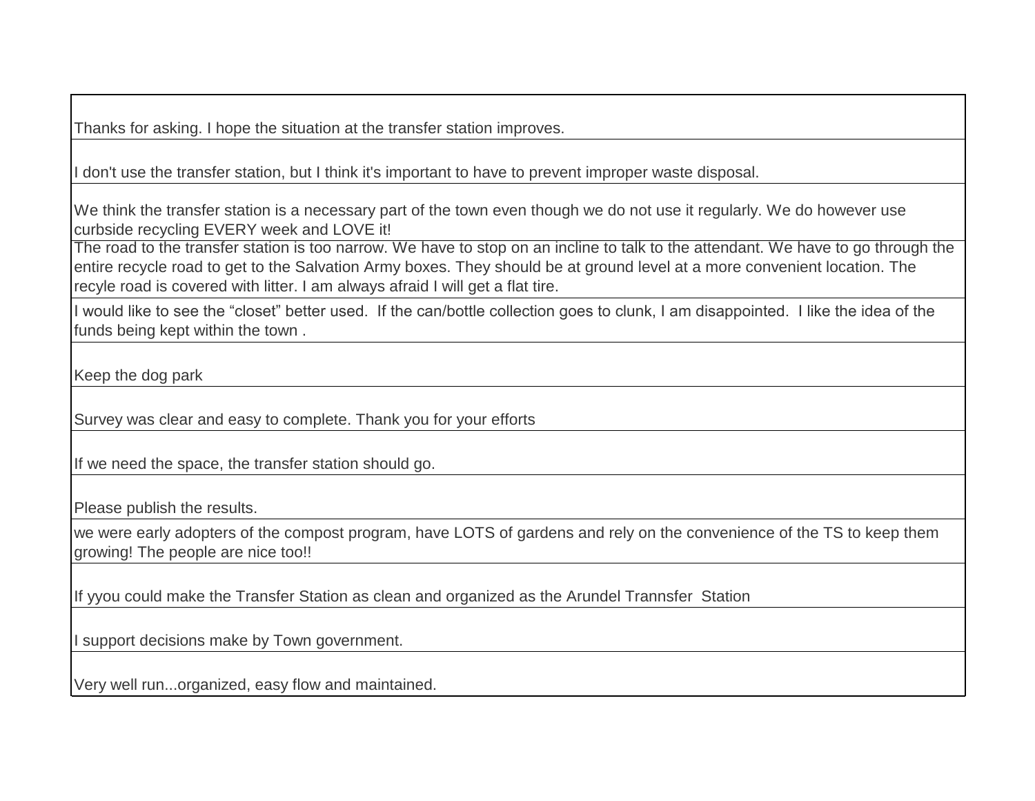Thanks for asking. I hope the situation at the transfer station improves.

I don't use the transfer station, but I think it's important to have to prevent improper waste disposal.

We think the transfer station is a necessary part of the town even though we do not use it regularly. We do however use curbside recycling EVERY week and LOVE it!

The road to the transfer station is too narrow. We have to stop on an incline to talk to the attendant. We have to go through the entire recycle road to get to the Salvation Army boxes. They should be at ground level at a more convenient location. The recyle road is covered with litter. I am always afraid I will get a flat tire.

I would like to see the "closet" better used. If the can/bottle collection goes to clunk, I am disappointed. I like the idea of the funds being kept within the town .

Keep the dog park

Survey was clear and easy to complete. Thank you for your efforts

If we need the space, the transfer station should go.

Please publish the results.

we were early adopters of the compost program, have LOTS of gardens and rely on the convenience of the TS to keep them growing! The people are nice too!!

If yyou could make the Transfer Station as clean and organized as the Arundel Trannsfer Station

I support decisions make by Town government.

Very well run...organized, easy flow and maintained.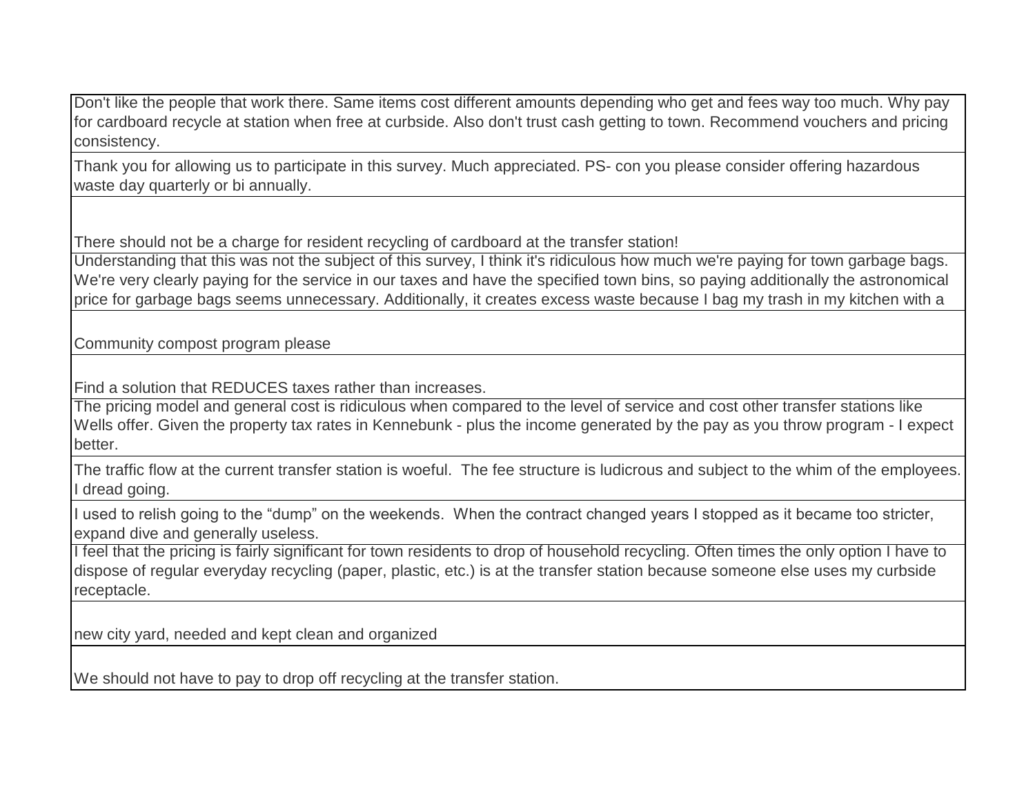Don't like the people that work there. Same items cost different amounts depending who get and fees way too much. Why pay for cardboard recycle at station when free at curbside. Also don't trust cash getting to town. Recommend vouchers and pricing consistency.

Thank you for allowing us to participate in this survey. Much appreciated. PS- con you please consider offering hazardous waste day quarterly or bi annually.

There should not be a charge for resident recycling of cardboard at the transfer station!

Understanding that this was not the subject of this survey, I think it's ridiculous how much we're paying for town garbage bags. We're very clearly paying for the service in our taxes and have the specified town bins, so paying additionally the astronomical price for garbage bags seems unnecessary. Additionally, it creates excess waste because I bag my trash in my kitchen with a

Community compost program please

Find a solution that REDUCES taxes rather than increases.

The pricing model and general cost is ridiculous when compared to the level of service and cost other transfer stations like Wells offer. Given the property tax rates in Kennebunk - plus the income generated by the pay as you throw program - I expect better.

The traffic flow at the current transfer station is woeful. The fee structure is ludicrous and subject to the whim of the employees. I dread going.

I used to relish going to the "dump" on the weekends. When the contract changed years I stopped as it became too stricter, expand dive and generally useless.

I feel that the pricing is fairly significant for town residents to drop of household recycling. Often times the only option I have to dispose of regular everyday recycling (paper, plastic, etc.) is at the transfer station because someone else uses my curbside receptacle.

new city yard, needed and kept clean and organized

We should not have to pay to drop off recycling at the transfer station.